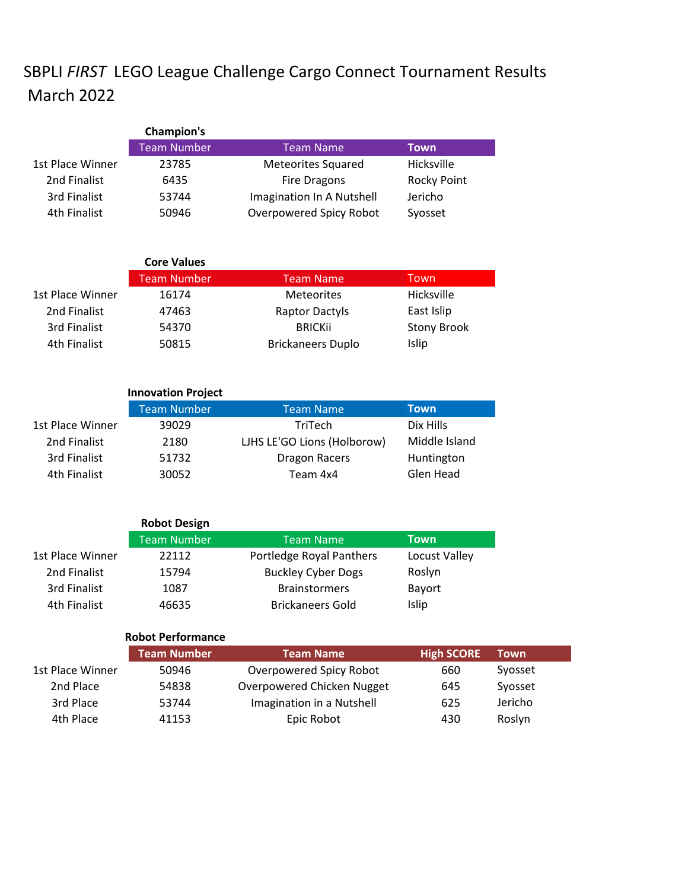## SBPLI *FIRST* LEGO League Challenge Cargo Connect Tournament Results March 2022

|                  | Champion's         |                           |             |
|------------------|--------------------|---------------------------|-------------|
|                  | <b>Team Number</b> | Team Name                 | <b>Town</b> |
| 1st Place Winner | 23785              | <b>Meteorites Squared</b> | Hicksville  |
| 2nd Finalist     | 6435               | <b>Fire Dragons</b>       | Rocky Point |
| 3rd Finalist     | 53744              | Imagination In A Nutshell | Jericho     |
| 4th Finalist     | 50946              | Overpowered Spicy Robot   | Syosset     |

|                  | <b>Core Values</b> |                          |                    |
|------------------|--------------------|--------------------------|--------------------|
|                  | <b>Team Number</b> | <b>Team Name</b>         | Town               |
| 1st Place Winner | 16174              | <b>Meteorites</b>        | <b>Hicksville</b>  |
| 2nd Finalist     | 47463              | <b>Raptor Dactyls</b>    | East Islip         |
| 3rd Finalist     | 54370              | <b>BRICKII</b>           | <b>Stony Brook</b> |
| 4th Finalist     | 50815              | <b>Brickaneers Duplo</b> | <b>Islip</b>       |

|                  | <b>Innovation Project</b> |                             |               |
|------------------|---------------------------|-----------------------------|---------------|
|                  | <b>Team Number</b>        | <b>Team Name</b>            | Town          |
| 1st Place Winner | 39029                     | <b>TriTech</b>              | Dix Hills     |
| 2nd Finalist     | 2180                      | LJHS LE'GO Lions (Holborow) | Middle Island |
| 3rd Finalist     | 51732                     | <b>Dragon Racers</b>        | Huntington    |
| 4th Finalist     | 30052                     | Team 4x4                    | Glen Head     |

|                  | <b>Robot Design</b> |                           |               |
|------------------|---------------------|---------------------------|---------------|
|                  | <b>Team Number</b>  | <b>Team Name</b>          | <b>Town</b>   |
| 1st Place Winner | 22112               | Portledge Royal Panthers  | Locust Valley |
| 2nd Finalist     | 15794               | <b>Buckley Cyber Dogs</b> | Roslyn        |
| 3rd Finalist     | 1087                | <b>Brainstormers</b>      | <b>Bayort</b> |
| 4th Finalist     | 46635               | <b>Brickaneers Gold</b>   | Islip         |

## **Robot Performance**

|                  | <b>Team Number</b> | <b>Team Name</b>           | <b>High SCORE</b> | <b>Town</b> |
|------------------|--------------------|----------------------------|-------------------|-------------|
| 1st Place Winner | 50946              | Overpowered Spicy Robot    | 660               | Syosset     |
| 2nd Place        | 54838              | Overpowered Chicken Nugget | 645               | Syosset     |
| 3rd Place        | 53744              | Imagination in a Nutshell  | 625               | Jericho     |
| 4th Place        | 41153              | Epic Robot                 | 430               | Roslyn      |